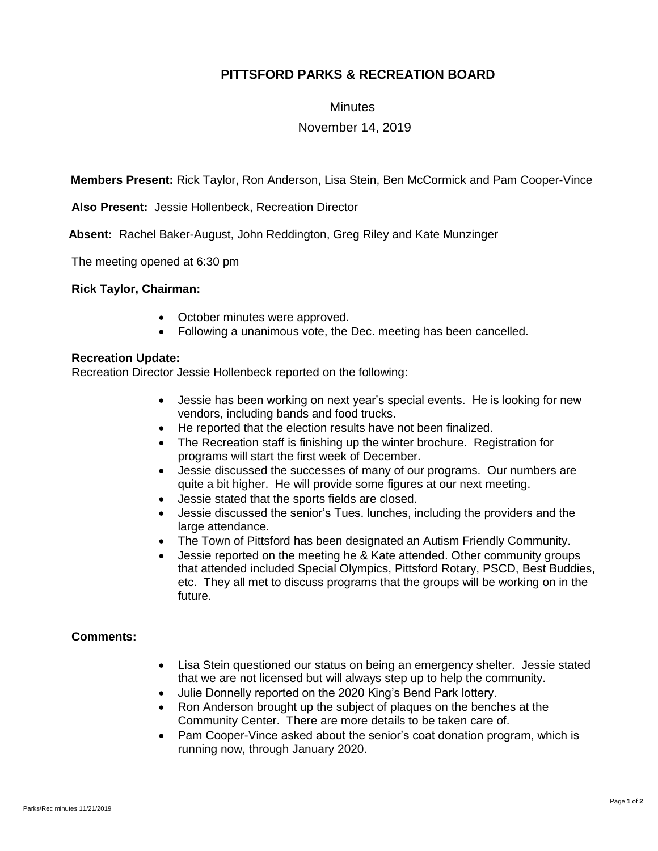# **PITTSFORD PARKS & RECREATION BOARD**

## **Minutes**

## November 14, 2019

**Members Present:** Rick Taylor, Ron Anderson, Lisa Stein, Ben McCormick and Pam Cooper-Vince

**Also Present:** Jessie Hollenbeck, Recreation Director

 **Absent:** Rachel Baker-August, John Reddington, Greg Riley and Kate Munzinger

The meeting opened at 6:30 pm

#### **Rick Taylor, Chairman:**

- October minutes were approved.
- Following a unanimous vote, the Dec. meeting has been cancelled.

#### **Recreation Update:**

Recreation Director Jessie Hollenbeck reported on the following:

- Jessie has been working on next year's special events. He is looking for new vendors, including bands and food trucks.
- He reported that the election results have not been finalized.
- The Recreation staff is finishing up the winter brochure. Registration for programs will start the first week of December.
- Jessie discussed the successes of many of our programs. Our numbers are quite a bit higher. He will provide some figures at our next meeting.
- Jessie stated that the sports fields are closed.
- Jessie discussed the senior's Tues. lunches, including the providers and the large attendance.
- The Town of Pittsford has been designated an Autism Friendly Community.
- Jessie reported on the meeting he & Kate attended. Other community groups that attended included Special Olympics, Pittsford Rotary, PSCD, Best Buddies, etc. They all met to discuss programs that the groups will be working on in the future.

#### **Comments:**

- Lisa Stein questioned our status on being an emergency shelter. Jessie stated that we are not licensed but will always step up to help the community.
- Julie Donnelly reported on the 2020 King's Bend Park lottery.
- Ron Anderson brought up the subject of plaques on the benches at the Community Center. There are more details to be taken care of.
- Pam Cooper-Vince asked about the senior's coat donation program, which is running now, through January 2020.